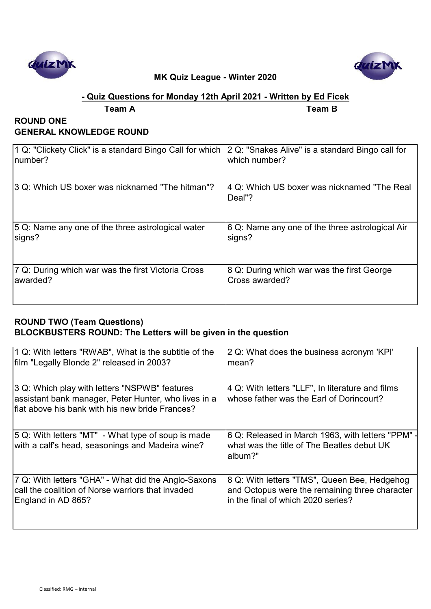



# **- Quiz Questions for Monday 12th April 2021 - Written by Ed Ficek**

**Team A Team B**

# **ROUND ONE GENERAL KNOWLEDGE ROUND**

| 1 Q: "Clickety Click" is a standard Bingo Call for which | 2 Q: "Snakes Alive" is a standard Bingo call for       |
|----------------------------------------------------------|--------------------------------------------------------|
| number?                                                  | which number?                                          |
| 3 Q: Which US boxer was nicknamed "The hitman"?          | 4 Q: Which US boxer was nicknamed "The Real<br> Deal"? |
| 5 Q: Name any one of the three astrological water        | 6 Q: Name any one of the three astrological Air        |
| signs?                                                   | signs?                                                 |
| 7 Q: During which war was the first Victoria Cross       | 8 Q: During which war was the first George             |
| lawarded?                                                | Cross awarded?                                         |

# **ROUND TWO (Team Questions) BLOCKBUSTERS ROUND: The Letters will be given in the question**

| 1 Q: With letters "RWAB", What is the subtitle of the                                                                                                    | 2 Q: What does the business acronym 'KPI'                                                                |
|----------------------------------------------------------------------------------------------------------------------------------------------------------|----------------------------------------------------------------------------------------------------------|
| film "Legally Blonde 2" released in 2003?                                                                                                                | mean?                                                                                                    |
| 3 Q: Which play with letters "NSPWB" features<br>assistant bank manager, Peter Hunter, who lives in a<br>flat above his bank with his new bride Frances? | 4 Q: With letters "LLF", In literature and films<br>whose father was the Earl of Dorincourt?             |
| 5 Q: With letters "MT" - What type of soup is made<br>with a calf's head, seasonings and Madeira wine?                                                   | 6 Q: Released in March 1963, with letters "PPM"<br>what was the title of The Beatles debut UK<br>album?" |
| 7 Q: With letters "GHA" - What did the Anglo-Saxons                                                                                                      | 8 Q: With letters "TMS", Queen Bee, Hedgehog                                                             |
| call the coalition of Norse warriors that invaded                                                                                                        | and Octopus were the remaining three character                                                           |
| England in AD 865?                                                                                                                                       | in the final of which 2020 series?                                                                       |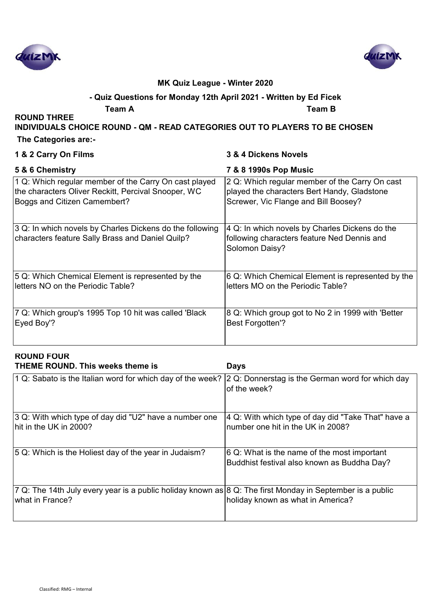



# **- Quiz Questions for Monday 12th April 2021 - Written by Ed Ficek**

**Team A Team B**

**ROUND THREE** 

**INDIVIDUALS CHOICE ROUND - QM - READ CATEGORIES OUT TO PLAYERS TO BE CHOSEN**

 **The Categories are:-**

| 1 & 2 Carry On Films                                                                                         | 3 & 4 Dickens Novels                                                                                            |
|--------------------------------------------------------------------------------------------------------------|-----------------------------------------------------------------------------------------------------------------|
| 5 & 6 Chemistry                                                                                              | 7 & 8 1990s Pop Music                                                                                           |
| 1 Q: Which regular member of the Carry On cast played                                                        | 2 Q: Which regular member of the Carry On cast                                                                  |
| the characters Oliver Reckitt, Percival Snooper, WC                                                          | played the characters Bert Handy, Gladstone                                                                     |
| Boggs and Citizen Camembert?                                                                                 | Screwer, Vic Flange and Bill Boosey?                                                                            |
| 3 Q: In which novels by Charles Dickens do the following<br>characters feature Sally Brass and Daniel Quilp? | 4 Q: In which novels by Charles Dickens do the<br>following characters feature Ned Dennis and<br>Solomon Daisy? |
| 5 Q: Which Chemical Element is represented by the                                                            | 6 Q: Which Chemical Element is represented by the                                                               |
| letters NO on the Periodic Table?                                                                            | letters MO on the Periodic Table?                                                                               |
| 7 Q: Which group's 1995 Top 10 hit was called 'Black                                                         | 8 Q: Which group got to No 2 in 1999 with 'Better                                                               |
| Eyed Boy'?                                                                                                   | <b>Best Forgotten'?</b>                                                                                         |

| <b>ROUND FOUR</b><br><b>THEME ROUND. This weeks theme is</b>                                                                             | <b>Days</b>                                                                                |
|------------------------------------------------------------------------------------------------------------------------------------------|--------------------------------------------------------------------------------------------|
| 1 Q: Sabato is the Italian word for which day of the week?                                                                               | 2 Q: Donnerstag is the German word for which day<br>of the week?                           |
| 3 Q: With which type of day did "U2" have a number one<br>hit in the UK in 2000?                                                         | 4 Q: With which type of day did "Take That" have a<br>number one hit in the UK in 2008?    |
| 5 Q: Which is the Holiest day of the year in Judaism?                                                                                    | 6 Q: What is the name of the most important<br>Buddhist festival also known as Buddha Day? |
| 7 Q: The 14th July every year is a public holiday known as $ 8 \text{ Q}$ : The first Monday in September is a public<br>what in France? | holiday known as what in America?                                                          |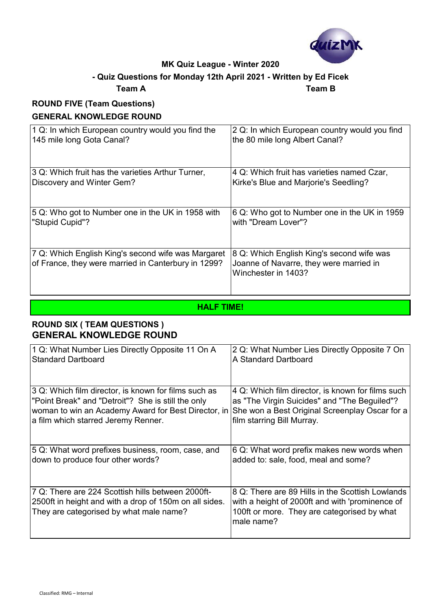

# **- Quiz Questions for Monday 12th April 2021 - Written by Ed Ficek**

#### **Team A Team B**

# **ROUND FIVE (Team Questions) GENERAL KNOWLEDGE ROUND**

| 1 Q: In which European country would you find the                                                         | 2 Q: In which European country would you find                                                               |
|-----------------------------------------------------------------------------------------------------------|-------------------------------------------------------------------------------------------------------------|
| 145 mile long Gota Canal?                                                                                 | the 80 mile long Albert Canal?                                                                              |
| 3 Q: Which fruit has the varieties Arthur Turner,                                                         | 4 Q: Which fruit has varieties named Czar,                                                                  |
| Discovery and Winter Gem?                                                                                 | Kirke's Blue and Marjorie's Seedling?                                                                       |
| 5 Q: Who got to Number one in the UK in 1958 with                                                         | 6 Q: Who got to Number one in the UK in 1959                                                                |
| "Stupid Cupid"?                                                                                           | with "Dream Lover"?                                                                                         |
| 7 Q: Which English King's second wife was Margaret<br>of France, they were married in Canterbury in 1299? | 8 Q: Which English King's second wife was<br>Joanne of Navarre, they were married in<br>Winchester in 1403? |

### **HALF TIME!**

# **ROUND SIX ( TEAM QUESTIONS ) GENERAL KNOWLEDGE ROUND**

| 1 Q: What Number Lies Directly Opposite 11 On A                                                                                                        | 2 Q: What Number Lies Directly Opposite 7 On                                                                                                                     |
|--------------------------------------------------------------------------------------------------------------------------------------------------------|------------------------------------------------------------------------------------------------------------------------------------------------------------------|
| <b>Standard Dartboard</b>                                                                                                                              | A Standard Dartboard                                                                                                                                             |
| 3 Q: Which film director, is known for films such as                                                                                                   | 4 Q: Which film director, is known for films such                                                                                                                |
| "Point Break" and "Detroit"? She is still the only                                                                                                     | as "The Virgin Suicides" and "The Beguiled"?                                                                                                                     |
| woman to win an Academy Award for Best Director, in                                                                                                    | She won a Best Original Screenplay Oscar for a                                                                                                                   |
| a film which starred Jeremy Renner.                                                                                                                    | film starring Bill Murray.                                                                                                                                       |
| 5 Q: What word prefixes business, room, case, and                                                                                                      | 6 Q: What word prefix makes new words when                                                                                                                       |
| down to produce four other words?                                                                                                                      | added to: sale, food, meal and some?                                                                                                                             |
| 7 Q: There are 224 Scottish hills between 2000ft-<br>2500ft in height and with a drop of 150m on all sides.<br>They are categorised by what male name? | 8 Q: There are 89 Hills in the Scottish Lowlands<br>with a height of 2000ft and with 'prominence of<br>100ft or more. They are categorised by what<br>male name? |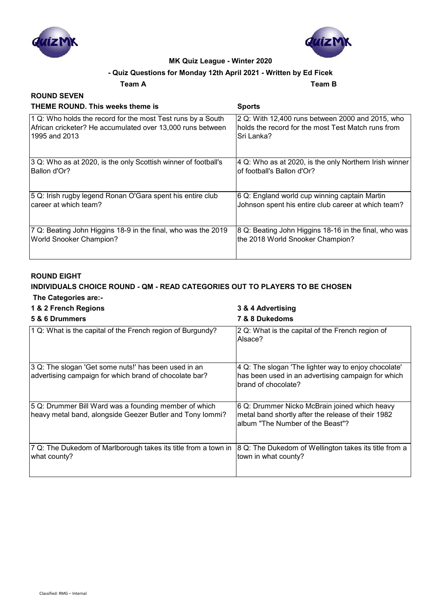



#### **- Quiz Questions for Monday 12th April 2021 - Written by Ed Ficek**

**Team A Team B**

#### **ROUND SEVEN THEME ROUND. This weeks theme is Sports**

| THEME ROUND. This weeks theme is                               | Sports                                                 |
|----------------------------------------------------------------|--------------------------------------------------------|
| 1 Q: Who holds the record for the most Test runs by a South    | 2 Q: With 12,400 runs between 2000 and 2015, who       |
| African cricketer? He accumulated over 13,000 runs between     | holds the record for the most Test Match runs from     |
| 1995 and 2013                                                  | Sri Lanka?                                             |
| 3 Q: Who as at 2020, is the only Scottish winner of football's | 4 Q: Who as at 2020, is the only Northern Irish winner |
| Ballon d'Or?                                                   | of football's Ballon d'Or?                             |
| 5 Q: Irish rugby legend Ronan O'Gara spent his entire club     | 6 Q: England world cup winning captain Martin          |
| career at which team?                                          | Johnson spent his entire club career at which team?    |
| 7 Q: Beating John Higgins 18-9 in the final, who was the 2019  | 8 Q: Beating John Higgins 18-16 in the final, who was  |
| <b>World Snooker Champion?</b>                                 | the 2018 World Snooker Champion?                       |

#### **ROUND EIGHT**

#### **INDIVIDUALS CHOICE ROUND - QM - READ CATEGORIES OUT TO PLAYERS TO BE CHOSEN The Categories are:-**

#### **1 & 2 French Regions 3 & 4 Advertising**

| 5 & 6 Drummers                                                                                                     | 7 & 8 Dukedoms                                                                                                                          |
|--------------------------------------------------------------------------------------------------------------------|-----------------------------------------------------------------------------------------------------------------------------------------|
| 1 Q: What is the capital of the French region of Burgundy?                                                         | 2 Q: What is the capital of the French region of<br>Alsace?                                                                             |
| 3 Q: The slogan 'Get some nuts!' has been used in an<br>advertising campaign for which brand of chocolate bar?     | 4 Q: The slogan 'The lighter way to enjoy chocolate'<br>has been used in an advertising campaign for which<br>brand of chocolate?       |
| 5 Q: Drummer Bill Ward was a founding member of which<br>heavy metal band, alongside Geezer Butler and Tony lommi? | 6 Q: Drummer Nicko McBrain joined which heavy<br>metal band shortly after the release of their 1982<br>album "The Number of the Beast"? |
| 7 Q: The Dukedom of Marlborough takes its title from a town in<br>what county?                                     | 8 Q: The Dukedom of Wellington takes its title from a<br>town in what county?                                                           |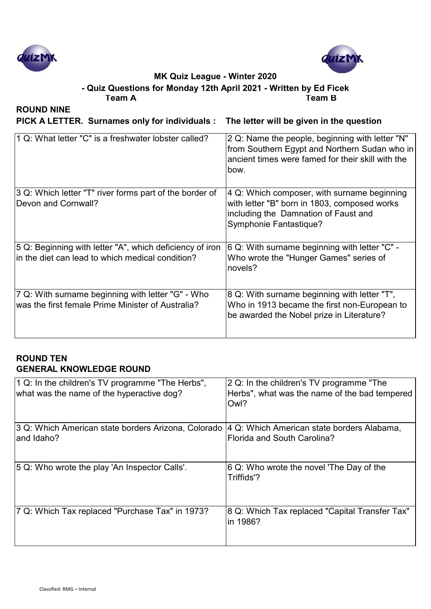



**Team A Team B - Quiz Questions for Monday 12th April 2021 - Written by Ed Ficek**

**ROUND NINE**

**PICK A LETTER. Surnames only for individuals : The letter will be given in the question**

| 1 Q: What letter "C" is a freshwater lobster called?                                                              | 2 Q: Name the people, beginning with letter "N"<br>from Southern Egypt and Northern Sudan who in<br>ancient times were famed for their skill with the<br>bow. |
|-------------------------------------------------------------------------------------------------------------------|---------------------------------------------------------------------------------------------------------------------------------------------------------------|
| 3 Q: Which letter "T" river forms part of the border of<br>Devon and Cornwall?                                    | 4 Q: Which composer, with surname beginning<br>with letter "B" born in 1803, composed works<br>including the Damnation of Faust and<br>Symphonie Fantastique? |
| 5 Q: Beginning with letter "A", which deficiency of iron<br>$\,$ in the diet can lead to which medical condition? | 6 Q: With surname beginning with letter "C" -<br>Who wrote the "Hunger Games" series of<br>novels?                                                            |
| 7 Q: With surname beginning with letter "G" - Who<br>lwas the first female Prime Minister of Australia?           | 8 Q: With surname beginning with letter "T",<br>Who in 1913 became the first non-European to<br>be awarded the Nobel prize in Literature?                     |

### **ROUND TEN GENERAL KNOWLEDGE ROUND**

| 1 Q: In the children's TV programme "The Herbs",<br>what was the name of the hyperactive dog? | 2 Q: In the children's TV programme "The<br>Herbs", what was the name of the bad tempered<br>Owl? |
|-----------------------------------------------------------------------------------------------|---------------------------------------------------------------------------------------------------|
| 3 Q: Which American state borders Arizona, Colorado                                           | 4 Q: Which American state borders Alabama,                                                        |
| and Idaho?                                                                                    | Florida and South Carolina?                                                                       |
| 5 Q: Who wrote the play 'An Inspector Calls'.                                                 | 6 Q: Who wrote the novel 'The Day of the<br>Triffids'?                                            |
| 7 Q: Which Tax replaced "Purchase Tax" in 1973?                                               | 8 Q: Which Tax replaced "Capital Transfer Tax"<br>in 1986?                                        |